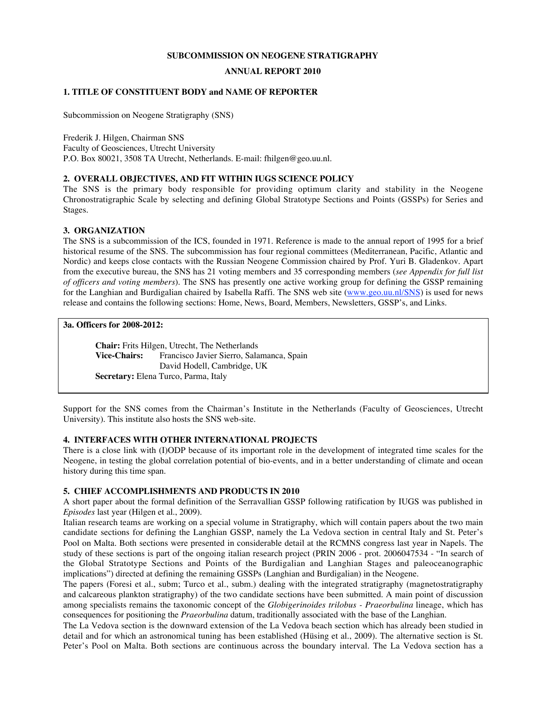### **SUBCOMMISSION ON NEOGENE STRATIGRAPHY**

### **ANNUAL REPORT 2010**

### **1. TITLE OF CONSTITUENT BODY and NAME OF REPORTER**

Subcommission on Neogene Stratigraphy (SNS)

Frederik J. Hilgen, Chairman SNS Faculty of Geosciences, Utrecht University P.O. Box 80021, 3508 TA Utrecht, Netherlands. E-mail: fhilgen@geo.uu.nl.

### **2. OVERALL OBJECTIVES, AND FIT WITHIN IUGS SCIENCE POLICY**

The SNS is the primary body responsible for providing optimum clarity and stability in the Neogene Chronostratigraphic Scale by selecting and defining Global Stratotype Sections and Points (GSSPs) for Series and Stages.

### **3. ORGANIZATION**

The SNS is a subcommission of the ICS, founded in 1971. Reference is made to the annual report of 1995 for a brief historical resume of the SNS. The subcommission has four regional committees (Mediterranean, Pacific, Atlantic and Nordic) and keeps close contacts with the Russian Neogene Commission chaired by Prof. Yuri B. Gladenkov. Apart from the executive bureau, the SNS has 21 voting members and 35 corresponding members (*see Appendix for full list of officers and voting members*). The SNS has presently one active working group for defining the GSSP remaining for the Langhian and Burdigalian chaired by Isabella Raffi. The SNS web site (www.geo.uu.nl/SNS) is used for news release and contains the following sections: Home, News, Board, Members, Newsletters, GSSP's, and Links.

### **3a. Officers for 2008-2012:**

**Chair:** Frits Hilgen, Utrecht, The Netherlands **Vice-Chairs:** Francisco Javier Sierro, Salamanca, Spain David Hodell, Cambridge, UK **Secretary:** Elena Turco, Parma, Italy

Support for the SNS comes from the Chairman's Institute in the Netherlands (Faculty of Geosciences, Utrecht University). This institute also hosts the SNS web-site.

### **4. INTERFACES WITH OTHER INTERNATIONAL PROJECTS**

There is a close link with (I)ODP because of its important role in the development of integrated time scales for the Neogene, in testing the global correlation potential of bio-events, and in a better understanding of climate and ocean history during this time span.

### **5. CHIEF ACCOMPLISHMENTS AND PRODUCTS IN 2010**

A short paper about the formal definition of the Serravallian GSSP following ratification by IUGS was published in *Episodes* last year (Hilgen et al., 2009).

Italian research teams are working on a special volume in Stratigraphy, which will contain papers about the two main candidate sections for defining the Langhian GSSP, namely the La Vedova section in central Italy and St. Peter's Pool on Malta. Both sections were presented in considerable detail at the RCMNS congress last year in Napels. The study of these sections is part of the ongoing italian research project (PRIN 2006 - prot. 2006047534 - "In search of the Global Stratotype Sections and Points of the Burdigalian and Langhian Stages and paleoceanographic implications") directed at defining the remaining GSSPs (Langhian and Burdigalian) in the Neogene.

The papers (Foresi et al., subm; Turco et al., subm.) dealing with the integrated stratigraphy (magnetostratigraphy and calcareous plankton stratigraphy) of the two candidate sections have been submitted. A main point of discussion among specialists remains the taxonomic concept of the *Globigerinoides trilobus - Praeorbulina* lineage, which has consequences for positioning the *Praeorbulina* datum, traditionally associated with the base of the Langhian.

The La Vedova section is the downward extension of the La Vedova beach section which has already been studied in detail and for which an astronomical tuning has been established (Hüsing et al., 2009). The alternative section is St. Peter's Pool on Malta. Both sections are continuous across the boundary interval. The La Vedova section has a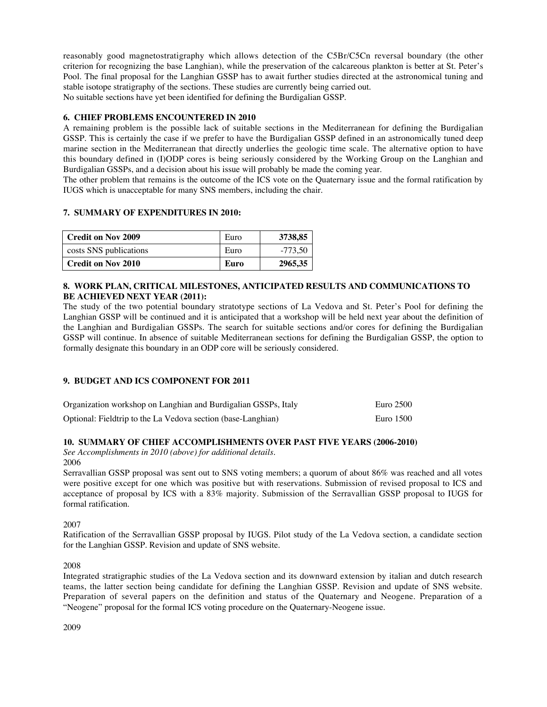reasonably good magnetostratigraphy which allows detection of the C5Br/C5Cn reversal boundary (the other criterion for recognizing the base Langhian), while the preservation of the calcareous plankton is better at St. Peter's Pool. The final proposal for the Langhian GSSP has to await further studies directed at the astronomical tuning and stable isotope stratigraphy of the sections. These studies are currently being carried out. No suitable sections have yet been identified for defining the Burdigalian GSSP.

## **6. CHIEF PROBLEMS ENCOUNTERED IN 2010**

A remaining problem is the possible lack of suitable sections in the Mediterranean for defining the Burdigalian GSSP. This is certainly the case if we prefer to have the Burdigalian GSSP defined in an astronomically tuned deep marine section in the Mediterranean that directly underlies the geologic time scale. The alternative option to have this boundary defined in (I)ODP cores is being seriously considered by the Working Group on the Langhian and Burdigalian GSSPs, and a decision about his issue will probably be made the coming year.

The other problem that remains is the outcome of the ICS vote on the Quaternary issue and the formal ratification by IUGS which is unacceptable for many SNS members, including the chair.

### **7. SUMMARY OF EXPENDITURES IN 2010:**

| <b>Credit on Nov 2009</b> | Euro | 3738,85   |
|---------------------------|------|-----------|
| costs SNS publications    | Euro | $-773.50$ |
| <b>Credit on Nov 2010</b> | Euro | 2965,35   |

## **8. WORK PLAN, CRITICAL MILESTONES, ANTICIPATED RESULTS AND COMMUNICATIONS TO BE ACHIEVED NEXT YEAR (2011):**

The study of the two potential boundary stratotype sections of La Vedova and St. Peter's Pool for defining the Langhian GSSP will be continued and it is anticipated that a workshop will be held next year about the definition of the Langhian and Burdigalian GSSPs. The search for suitable sections and/or cores for defining the Burdigalian GSSP will continue. In absence of suitable Mediterranean sections for defining the Burdigalian GSSP, the option to formally designate this boundary in an ODP core will be seriously considered.

# **9. BUDGET AND ICS COMPONENT FOR 2011**

| Organization workshop on Langhian and Burdigalian GSSPs, Italy | Euro 2500 |
|----------------------------------------------------------------|-----------|
| Optional: Fieldtrip to the La Vedova section (base-Langhian)   | Euro 1500 |

# **10. SUMMARY OF CHIEF ACCOMPLISHMENTS OVER PAST FIVE YEARS (2006-2010)**

*See Accomplishments in 2010 (above) for additional details.* 2006

Serravallian GSSP proposal was sent out to SNS voting members; a quorum of about 86% was reached and all votes were positive except for one which was positive but with reservations. Submission of revised proposal to ICS and acceptance of proposal by ICS with a 83% majority. Submission of the Serravallian GSSP proposal to IUGS for formal ratification.

2007

Ratification of the Serravallian GSSP proposal by IUGS. Pilot study of the La Vedova section, a candidate section for the Langhian GSSP. Revision and update of SNS website.

2008

Integrated stratigraphic studies of the La Vedova section and its downward extension by italian and dutch research teams, the latter section being candidate for defining the Langhian GSSP. Revision and update of SNS website. Preparation of several papers on the definition and status of the Quaternary and Neogene. Preparation of a "Neogene" proposal for the formal ICS voting procedure on the Quaternary-Neogene issue.

2009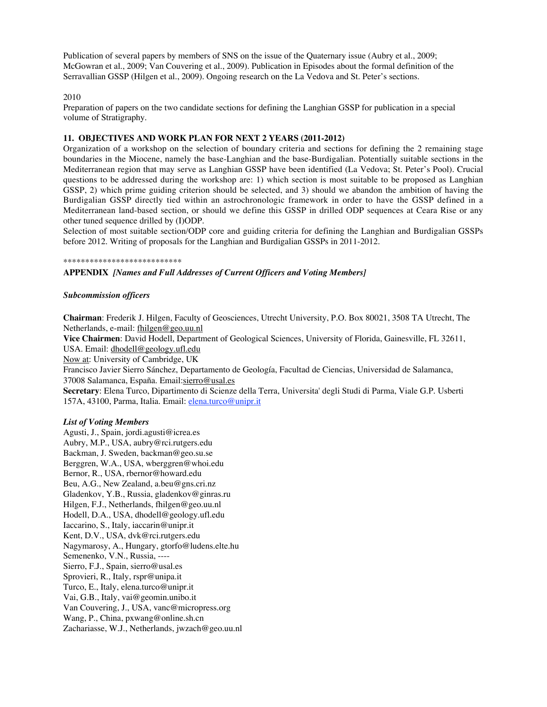Publication of several papers by members of SNS on the issue of the Quaternary issue (Aubry et al., 2009; McGowran et al., 2009; Van Couvering et al., 2009). Publication in Episodes about the formal definition of the Serravallian GSSP (Hilgen et al., 2009). Ongoing research on the La Vedova and St. Peter's sections.

### 2010

Preparation of papers on the two candidate sections for defining the Langhian GSSP for publication in a special volume of Stratigraphy.

### **11. OBJECTIVES AND WORK PLAN FOR NEXT 2 YEARS (2011-2012)**

Organization of a workshop on the selection of boundary criteria and sections for defining the 2 remaining stage boundaries in the Miocene, namely the base-Langhian and the base-Burdigalian. Potentially suitable sections in the Mediterranean region that may serve as Langhian GSSP have been identified (La Vedova; St. Peter's Pool). Crucial questions to be addressed during the workshop are: 1) which section is most suitable to be proposed as Langhian GSSP, 2) which prime guiding criterion should be selected, and 3) should we abandon the ambition of having the Burdigalian GSSP directly tied within an astrochronologic framework in order to have the GSSP defined in a Mediterranean land-based section, or should we define this GSSP in drilled ODP sequences at Ceara Rise or any other tuned sequence drilled by (I)ODP.

Selection of most suitable section/ODP core and guiding criteria for defining the Langhian and Burdigalian GSSPs before 2012. Writing of proposals for the Langhian and Burdigalian GSSPs in 2011-2012.

#### \*\*\*\*\*\*\*\*\*\*\*\*\*\*\*\*\*\*\*\*\*\*\*\*\*\*\*

### **APPENDIX** *[Names and Full Addresses of Current Officers and Voting Members]*

### *Subcommission officers*

**Chairman**: Frederik J. Hilgen, Faculty of Geosciences, Utrecht University, P.O. Box 80021, 3508 TA Utrecht, The Netherlands, e-mail: fhilgen@geo.uu.nl

**Vice Chairmen**: David Hodell, Department of Geological Sciences, University of Florida, Gainesville, FL 32611, USA. Email: dhodell@geology.ufl.edu

Now at: University of Cambridge, UK

Francisco Javier Sierro Sánchez, Departamento de Geología, Facultad de Ciencias, Universidad de Salamanca, 37008 Salamanca, España. Email:sierro@usal.es

**Secretary**: Elena Turco, Dipartimento di Scienze della Terra, Universita' degli Studi di Parma, Viale G.P. Usberti 157A, 43100, Parma, Italia. Email: elena.turco@unipr.it

### *List of Voting Members*

Agusti, J., Spain, jordi.agusti@icrea.es Aubry, M.P., USA, aubry@rci.rutgers.edu Backman, J. Sweden, backman@geo.su.se Berggren, W.A., USA, wberggren@whoi.edu Bernor, R., USA, rbernor@howard.edu Beu, A.G., New Zealand, a.beu@gns.cri.nz Gladenkov, Y.B., Russia, gladenkov@ginras.ru Hilgen, F.J., Netherlands, fhilgen@geo.uu.nl Hodell, D.A., USA, dhodell@geology.ufl.edu Iaccarino, S., Italy, iaccarin@unipr.it Kent, D.V., USA, dvk@rci.rutgers.edu Nagymarosy, A., Hungary, gtorfo@ludens.elte.hu Semenenko, V.N., Russia, ---- Sierro, F.J., Spain, sierro@usal.es Sprovieri, R., Italy, rspr@unipa.it Turco, E., Italy, elena.turco@unipr.it Vai, G.B., Italy, vai@geomin.unibo.it Van Couvering, J., USA, vanc@micropress.org Wang, P., China, pxwang@online.sh.cn Zachariasse, W.J., Netherlands, jwzach@geo.uu.nl